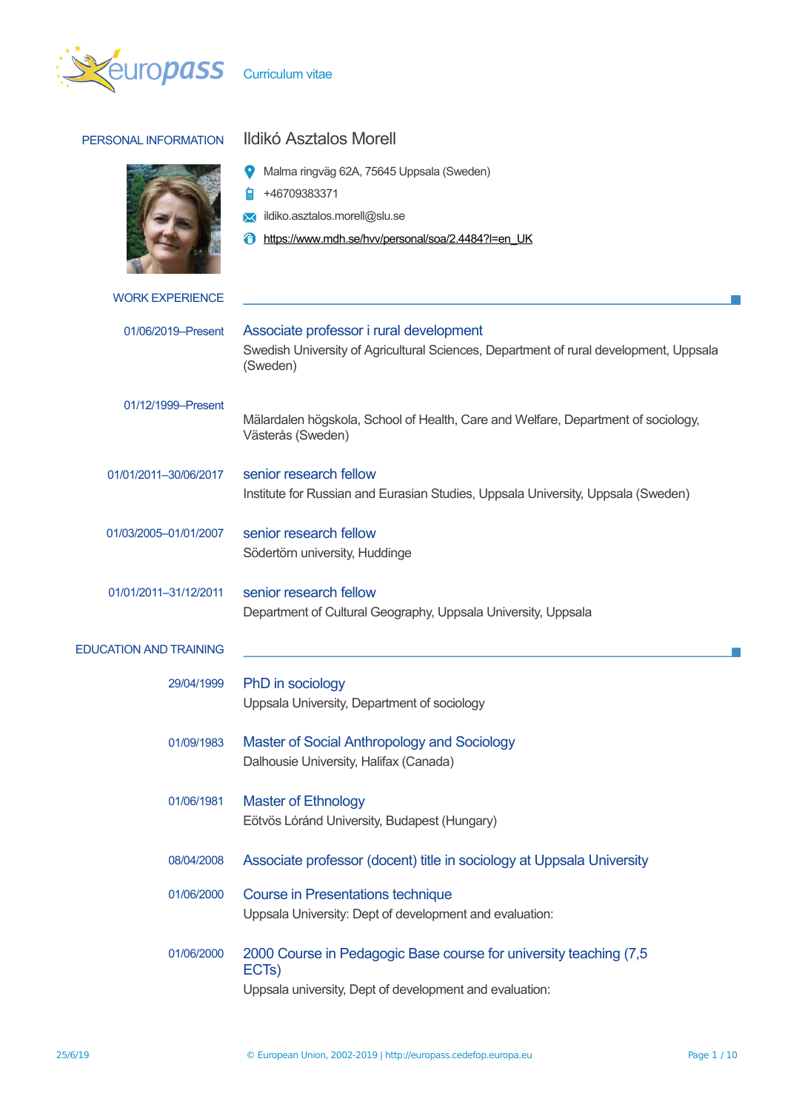

| PERSONAL INFORMATION          | Ildikó Asztalos Morell                                                                                                                              |  |  |  |
|-------------------------------|-----------------------------------------------------------------------------------------------------------------------------------------------------|--|--|--|
|                               | Malma ringväg 62A, 75645 Uppsala (Sweden)<br>+46709383371<br>ildiko.asztalos.morell@slu.se<br>https://www.mdh.se/hvv/personal/soa/2.4484?I=en_UK    |  |  |  |
| <b>WORK EXPERIENCE</b>        |                                                                                                                                                     |  |  |  |
| 01/06/2019-Present            | Associate professor i rural development<br>Swedish University of Agricultural Sciences, Department of rural development, Uppsala<br>(Sweden)        |  |  |  |
| 01/12/1999-Present            | Mälardalen högskola, School of Health, Care and Welfare, Department of sociology,<br>Västerås (Sweden)                                              |  |  |  |
| 01/01/2011-30/06/2017         | senior research fellow<br>Institute for Russian and Eurasian Studies, Uppsala University, Uppsala (Sweden)                                          |  |  |  |
| 01/03/2005-01/01/2007         | senior research fellow<br>Södertörn university, Huddinge                                                                                            |  |  |  |
| 01/01/2011-31/12/2011         | senior research fellow<br>Department of Cultural Geography, Uppsala University, Uppsala                                                             |  |  |  |
| <b>EDUCATION AND TRAINING</b> |                                                                                                                                                     |  |  |  |
| 29/04/1999                    | PhD in sociology<br>Uppsala University, Department of sociology                                                                                     |  |  |  |
| 01/09/1983                    | Master of Social Anthropology and Sociology<br>Dalhousie University, Halifax (Canada)                                                               |  |  |  |
| 01/06/1981                    | <b>Master of Ethnology</b><br>Eötvös Lóránd University, Budapest (Hungary)                                                                          |  |  |  |
| 08/04/2008                    | Associate professor (docent) title in sociology at Uppsala University                                                                               |  |  |  |
| 01/06/2000                    | <b>Course in Presentations technique</b><br>Uppsala University: Dept of development and evaluation:                                                 |  |  |  |
| 01/06/2000                    | 2000 Course in Pedagogic Base course for university teaching (7,5)<br>ECT <sub>s</sub> )<br>Uppsala university, Dept of development and evaluation: |  |  |  |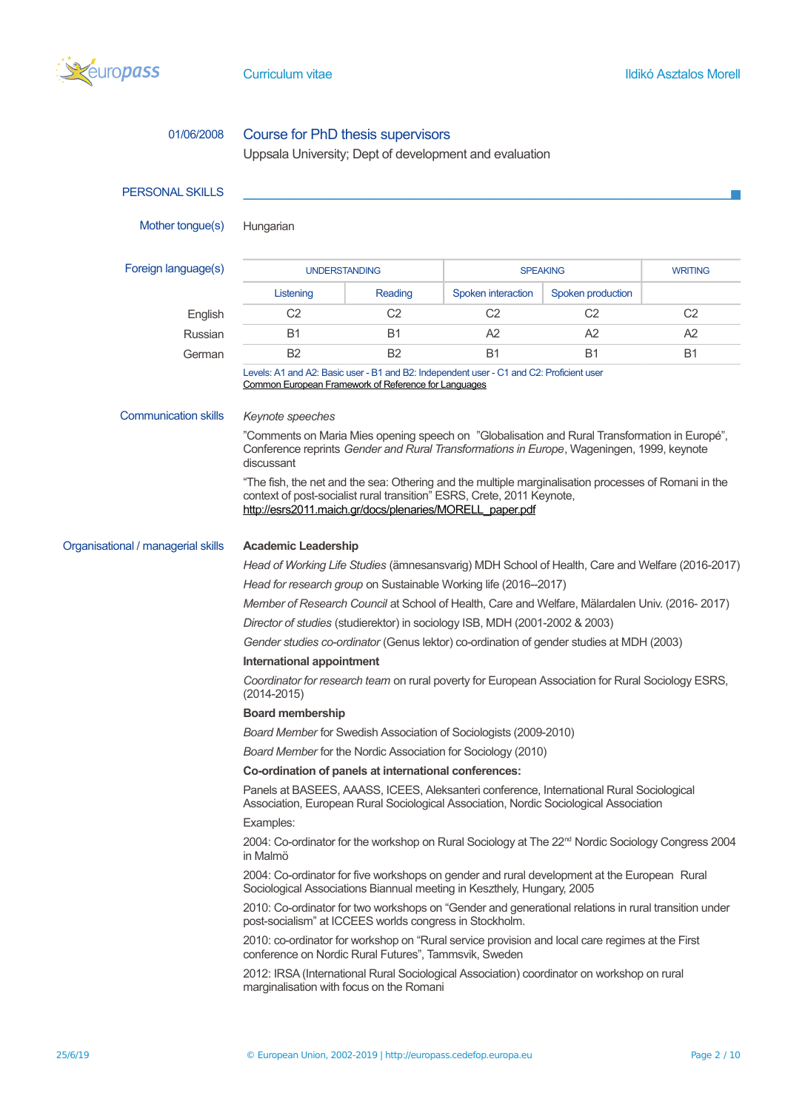

| 01/06/2008                         | Course for PhD thesis supervisors                                                                                                                                                                                                          |                |                    |                   |                |  |
|------------------------------------|--------------------------------------------------------------------------------------------------------------------------------------------------------------------------------------------------------------------------------------------|----------------|--------------------|-------------------|----------------|--|
|                                    | Uppsala University; Dept of development and evaluation                                                                                                                                                                                     |                |                    |                   |                |  |
| <b>PERSONAL SKILLS</b>             |                                                                                                                                                                                                                                            |                |                    |                   |                |  |
| Mother tongue(s)                   | Hungarian                                                                                                                                                                                                                                  |                |                    |                   |                |  |
| Foreign language(s)                | <b>UNDERSTANDING</b>                                                                                                                                                                                                                       |                | <b>SPEAKING</b>    |                   | <b>WRITING</b> |  |
|                                    | Listening                                                                                                                                                                                                                                  | Reading        | Spoken interaction | Spoken production |                |  |
| English                            | C <sub>2</sub>                                                                                                                                                                                                                             | C <sub>2</sub> | C <sub>2</sub>     | C <sub>2</sub>    | C <sub>2</sub> |  |
| Russian                            | <b>B1</b>                                                                                                                                                                                                                                  | B1             | A2                 | A2                | A2             |  |
| German                             | <b>B2</b>                                                                                                                                                                                                                                  | <b>B2</b>      | <b>B1</b>          | <b>B1</b>         | B1             |  |
|                                    | Levels: A1 and A2: Basic user - B1 and B2: Independent user - C1 and C2: Proficient user<br><b>Common European Framework of Reference for Languages</b>                                                                                    |                |                    |                   |                |  |
| <b>Communication skills</b>        | Keynote speeches                                                                                                                                                                                                                           |                |                    |                   |                |  |
|                                    | "Comments on Maria Mies opening speech on "Globalisation and Rural Transformation in Europé",<br>Conference reprints Gender and Rural Transformations in Europe, Wageningen, 1999, keynote<br>discussant                                   |                |                    |                   |                |  |
|                                    | "The fish, the net and the sea: Othering and the multiple marginalisation processes of Romani in the<br>context of post-socialist rural transition" ESRS, Crete, 2011 Keynote,<br>http://esrs2011.maich.gr/docs/plenaries/MORELL_paper.pdf |                |                    |                   |                |  |
| Organisational / managerial skills | <b>Academic Leadership</b>                                                                                                                                                                                                                 |                |                    |                   |                |  |
|                                    | Head of Working Life Studies (ämnesansvarig) MDH School of Health, Care and Welfare (2016-2017)                                                                                                                                            |                |                    |                   |                |  |
|                                    | Head for research group on Sustainable Working life (2016--2017)                                                                                                                                                                           |                |                    |                   |                |  |
|                                    | Member of Research Council at School of Health, Care and Welfare, Mälardalen Univ. (2016-2017)                                                                                                                                             |                |                    |                   |                |  |
|                                    | Director of studies (studierektor) in sociology ISB, MDH (2001-2002 & 2003)                                                                                                                                                                |                |                    |                   |                |  |
|                                    | Gender studies co-ordinator (Genus lektor) co-ordination of gender studies at MDH (2003)                                                                                                                                                   |                |                    |                   |                |  |
|                                    | International appointment                                                                                                                                                                                                                  |                |                    |                   |                |  |
|                                    | Coordinator for research team on rural poverty for European Association for Rural Sociology ESRS,<br>$(2014 - 2015)$                                                                                                                       |                |                    |                   |                |  |
|                                    | <b>Board membership</b>                                                                                                                                                                                                                    |                |                    |                   |                |  |
|                                    | Board Member for Swedish Association of Sociologists (2009-2010)                                                                                                                                                                           |                |                    |                   |                |  |
|                                    | Board Member for the Nordic Association for Sociology (2010)                                                                                                                                                                               |                |                    |                   |                |  |
|                                    | Co-ordination of panels at international conferences:                                                                                                                                                                                      |                |                    |                   |                |  |
|                                    | Panels at BASEES, AAASS, ICEES, Aleksanteri conference, International Rural Sociological<br>Association, European Rural Sociological Association, Nordic Sociological Association                                                          |                |                    |                   |                |  |
|                                    | Examples:                                                                                                                                                                                                                                  |                |                    |                   |                |  |
|                                    | 2004: Co-ordinator for the workshop on Rural Sociology at The 22 <sup>nd</sup> Nordic Sociology Congress 2004<br>in Malmö                                                                                                                  |                |                    |                   |                |  |
|                                    | 2004: Co-ordinator for five workshops on gender and rural development at the European Rural<br>Sociological Associations Biannual meeting in Keszthely, Hungary, 2005                                                                      |                |                    |                   |                |  |
|                                    | 2010: Co-ordinator for two workshops on "Gender and generational relations in rural transition under<br>post-socialism" at ICCEES worlds congress in Stockholm.                                                                            |                |                    |                   |                |  |
|                                    | 2010: co-ordinator for workshop on "Rural service provision and local care regimes at the First<br>conference on Nordic Rural Futures", Tammsvik, Sweden                                                                                   |                |                    |                   |                |  |
|                                    | 2012: IRSA (International Rural Sociological Association) coordinator on workshop on rural<br>marginalisation with focus on the Romani                                                                                                     |                |                    |                   |                |  |
|                                    |                                                                                                                                                                                                                                            |                |                    |                   |                |  |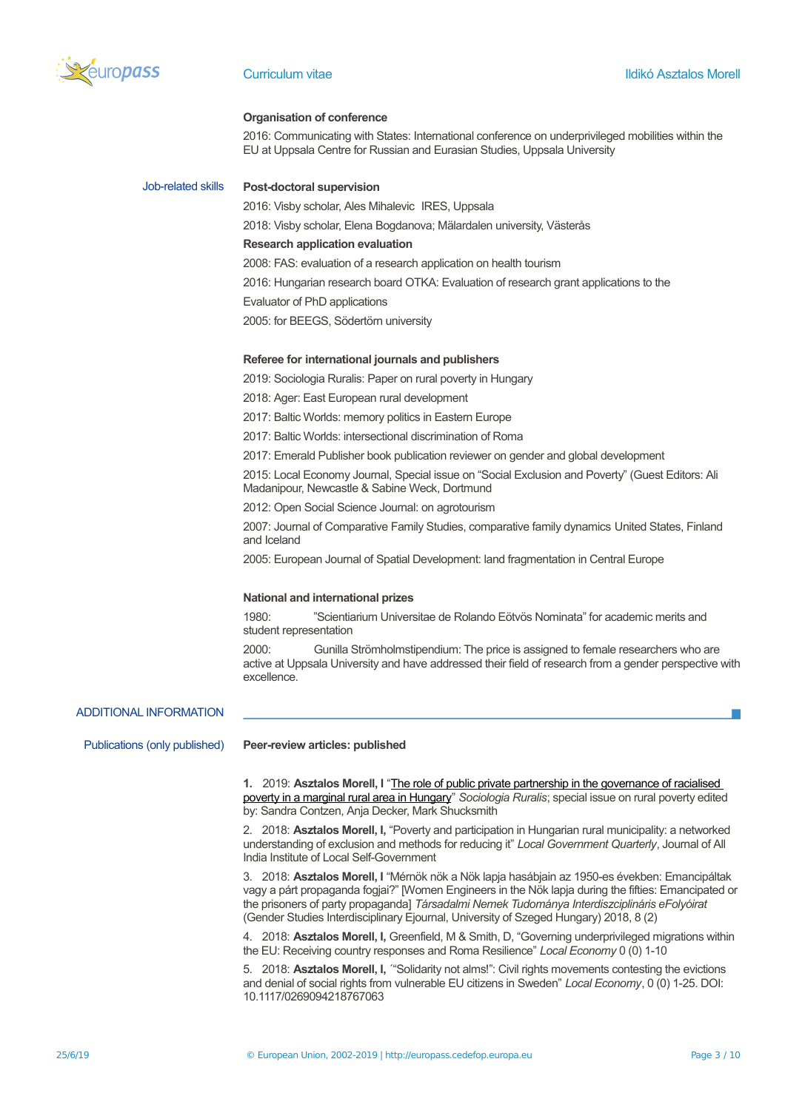

#### **Organisation of conference**

2016: Communicating with States: International conference on underprivileged mobilities within the EU at Uppsala Centre for Russian and Eurasian Studies, Uppsala University

# Job-related skills **Post-doctoral supervision**

2016: Visby scholar, Ales Mihalevic IRES, Uppsala

2018: Visby scholar, Elena Bogdanova; Mälardalen university, Västerås

## **Research application evaluation**

2008: FAS: evaluation of a research application on health tourism

2016: Hungarian research board OTKA: Evaluation of research grant applications to the

#### Evaluator of PhD applications

2005: for BEEGS, Södertörn university

#### **Referee for international journals and publishers**

2019: Sociologia Ruralis: Paper on rural poverty in Hungary

2018: Ager: East European rural development

2017: Baltic Worlds: memory politics in Eastern Europe

2017: Baltic Worlds: intersectional discrimination of Roma

2017: Emerald Publisher book publication reviewer on gender and global development

2015: Local Economy Journal, Special issue on "Social Exclusion and Poverty" (Guest Editors: Ali Madanipour, Newcastle & Sabine Weck, Dortmund

2012: Open Social Science Journal: on agrotourism

2007: Journal of Comparative Family Studies, comparative family dynamics United States, Finland and Iceland

2005: European Journal of Spatial Development: land fragmentation in Central Europe

## **National and international prizes**

1980: "Scientiarium Universitae de Rolando Eötvös Nominata" for academic merits and student representation

2000: Gunilla Strömholmstipendium: The price is assigned to female researchers who are active at Uppsala University and have addressed their field of research from a gender perspective with excellence.

## ADDITIONAL INFORMATION

Publications (only published) **Peer-review articles: published 1.** 2019: **Asztalos Morell, I** ["The role of public private partnership in the governance of racialised](https://onlinelibrary.wiley.com/doi/10.1111/soru.12256)  [poverty in a marginal rural area in Hungary"](https://onlinelibrary.wiley.com/doi/10.1111/soru.12256) *Sociologia Ruralis*; special issue on rural poverty edited by: Sandra Contzen, Anja Decker, Mark Shucksmith 2. 2018: **Asztalos Morell, I,** "Poverty and participation in Hungarian rural municipality: a networked understanding of exclusion and methods for reducing it" *Local Government Quarterly*, Journal of All India Institute of Local Self-Government 3. 2018: **Asztalos Morell, I** "Mérnök nök a Nök lapja hasábjain az 1950-es években: Emancipáltak vagy a párt propaganda fogjai?" [Women Engineers in the Nök lapja during the fifties: Emancipated or the prisoners of party propaganda] *Társadalmi Nemek Tudománya Interdiszciplináris eFolyóirat* (Gender Studies Interdisciplinary Ejournal, University of Szeged Hungary) 2018, 8 (2) 4. 2018: **Asztalos Morell, I,** Greenfield, M & Smith, D, "Governing underprivileged migrations within the EU: Receiving country responses and Roma Resilience" *Local Economy* 0 (0) 1-10 5. 2018: **Asztalos Morell, I,** ´"Solidarity not alms!": Civil rights movements contesting the evictions and denial of social rights from vulnerable EU citizens in Sweden" *Local Economy*, 0 (0) 1-25. DOI:

10.1117/0269094218767063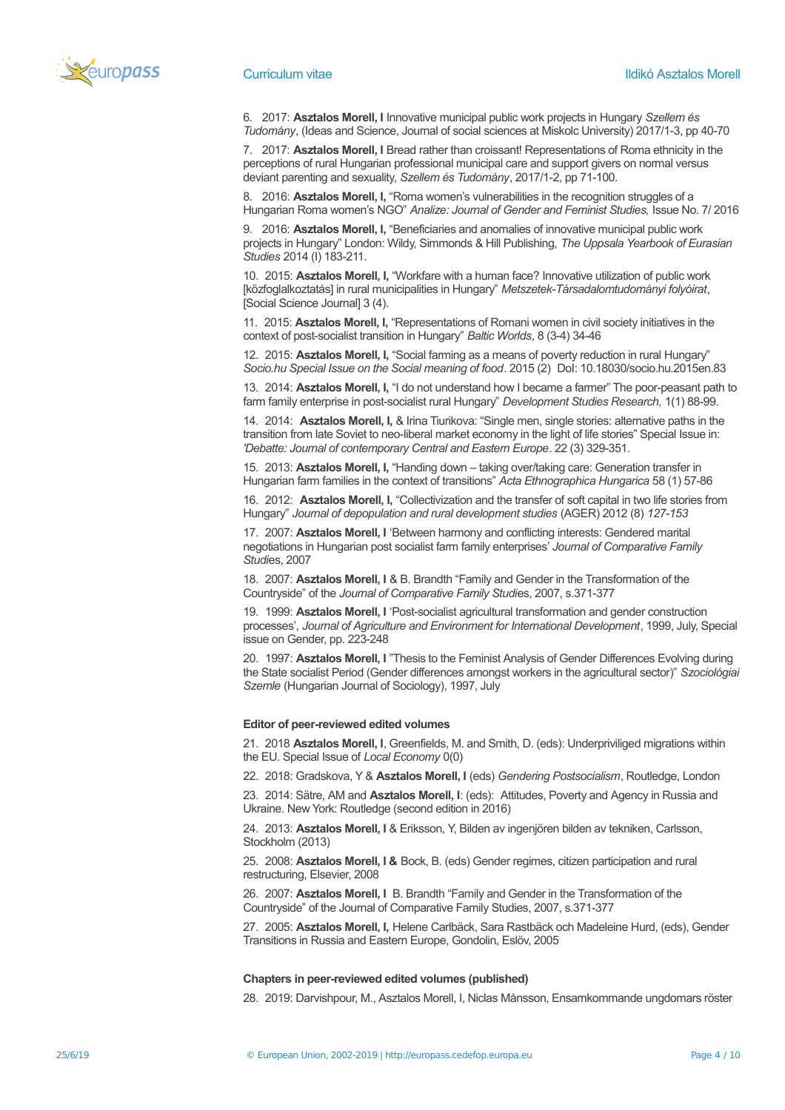

6. 2017: **Asztalos Morell, I** Innovative municipal public work projects in Hungary *Szellem és Tudomány*, (Ideas and Science, Journal of social sciences at Miskolc University) 2017/1-3, pp 40-70

7. 2017: **Asztalos Morell, I** Bread rather than croissant! Representations of Roma ethnicity in the perceptions of rural Hungarian professional municipal care and support givers on normal versus deviant parenting and sexuality, *Szellem és Tudomány*, 2017/1-2, pp 71-100.

8. 2016: **Asztalos Morell, I,** "Roma women's vulnerabilities in the recognition struggles of a Hungarian Roma women's NGO" *Analize: Journal of Gender and Feminist Studies,* Issue No. 7/ 2016

9. 2016: **Asztalos Morell, I,** "Beneficiaries and anomalies of innovative municipal public work projects in Hungary" London: Wildy, Simmonds & Hill Publishing, *The Uppsala Yearbook of Eurasian Studies* 2014 (I) 183-211.

10. 2015: **Asztalos Morell, I,** "Workfare with a human face? Innovative utilization of public work [közfoglalkoztatás] in rural municipalities in Hungary" *Metszetek-Társadalomtudományi folyóirat*, [Social Science Journal] 3 (4).

11. 2015: **Asztalos Morell, I,** "Representations of Romani women in civil society initiatives in the context of post-socialist transition in Hungary" *Baltic Worlds*, 8 (3-4) 34-46

12. 2015: **Asztalos Morell, I,** "Social farming as a means of poverty reduction in rural Hungary" *Socio.hu Special Issue on the Social meaning of food*. 2015 (2) DoI: 10.18030/socio.hu.2015en.83

13. 2014: **Asztalos Morell, I,** "I do not understand how I became a farmer" The poor-peasant path to farm family enterprise in post-socialist rural Hungary" *Development Studies Research,* 1(1) 88-99.

14. 2014: **Asztalos Morell, I,** & Irina Tiurikova: "Single men, single stories: alternative paths in the transition from late Soviet to neo-liberal market economy in the light of life stories" Special Issue in: *'Debatte: Journal of contemporary Central and Eastern Europe*. 22 (3) 329-351.

15. 2013: **Asztalos Morell, I,** "Handing down – taking over/taking care: Generation transfer in Hungarian farm families in the context of transitions" *Acta Ethnographica Hungarica* 58 (1) 57-86

16. 2012: **Asztalos Morell, I,** "Collectivization and the transfer of soft capital in two life stories from Hungary" *Journal of depopulation and rural development studies* (AGER) 2012 (8) *127-153*

17. 2007: **Asztalos Morell, I** 'Between harmony and conflicting interests: Gendered marital negotiations in Hungarian post socialist farm family enterprises' *Journal of Comparative Family Studi*es, 2007

18. 2007: **Asztalos Morell, I** & B. Brandth "Family and Gender in the Transformation of the Countryside" of the *Journal of Comparative Family Studi*es, 2007, s.371-377

19. 1999: **Asztalos Morell, I** 'Post-socialist agricultural transformation and gender construction processes', *Journal of Agriculture and Environment for International Development*, 1999, July, Special issue on Gender, pp. 223-248

20. 1997: **Asztalos Morell, I** "Thesis to the Feminist Analysis of Gender Differences Evolving during the State socialist Period (Gender differences amongst workers in the agricultural sector)" *Szociológiai Szemle* (Hungarian Journal of Sociology), 1997, July

#### **Editor of peer-reviewed edited volumes**

21. 2018 **Asztalos Morell, I**, Greenfields, M. and Smith, D. (eds): Underpriviliged migrations within the EU. Special Issue of *Local Economy* 0(0)

22. 2018: Gradskova, Y & **Asztalos Morell, I** (eds) *Gendering Postsocialism*, Routledge, London

23. 2014: Sätre, AM and **Asztalos Morell, I**: (eds): Attitudes, Poverty and Agency in Russia and Ukraine. New York: Routledge (second edition in 2016)

24. 2013: **Asztalos Morell, I** & Eriksson, Y, Bilden av ingenjören bilden av tekniken, Carlsson, Stockholm (2013)

25. 2008: **Asztalos Morell, I &** Bock, B. (eds) Gender regimes, citizen participation and rural restructuring, Elsevier, 2008

26. 2007: **Asztalos Morell, I** B. Brandth "Family and Gender in the Transformation of the Countryside" of the Journal of Comparative Family Studies, 2007, s.371-377

27. 2005: **Asztalos Morell, I,** Helene Carlbäck, Sara Rastbäck och Madeleine Hurd, (eds), Gender Transitions in Russia and Eastern Europe, Gondolin, Eslöv, 2005

## **Chapters in peer-reviewed edited volumes (published)**

28. 2019: Darvishpour, M., Asztalos Morell, I, Niclas Månsson, Ensamkommande ungdomars röster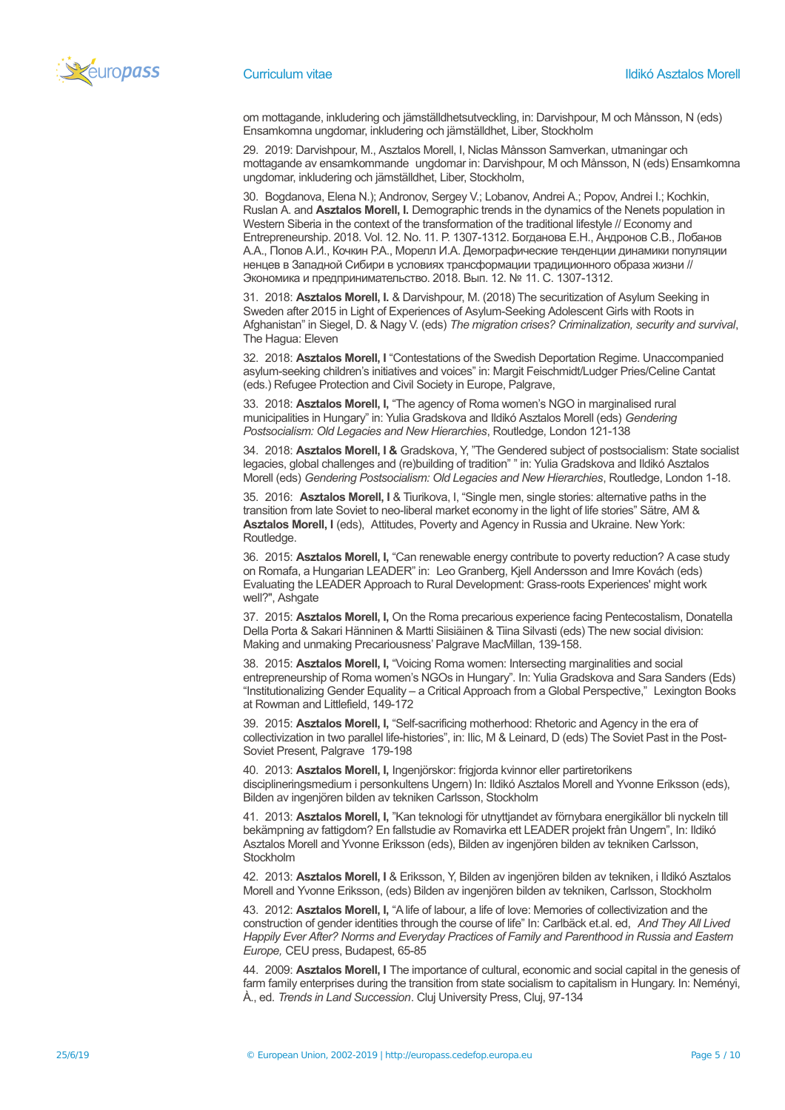

om mottagande, inkludering och jämställdhetsutveckling, in: Darvishpour, M och Månsson, N (eds) Ensamkomna ungdomar, inkludering och jämställdhet, Liber, Stockholm

29. 2019: Darvishpour, M., Asztalos Morell, I, Niclas Månsson Samverkan, utmaningar och mottagande av ensamkommande ungdomar in: Darvishpour, M och Månsson, N (eds) Ensamkomna ungdomar, inkludering och jämställdhet, Liber, Stockholm,

30. Bogdanova, Elena N.); Andronov, Sergey V.; Lobanov, Andrei A.; Popov, Andrei I.; Kochkin, Ruslan A. and **Asztalos Morell, I.** Demographic trends in the dynamics of the Nenets population in Western Siberia in the context of the transformation of the traditional lifestyle // Economy and Entrepreneurship. 2018. Vol. 12. No. 11. P. 1307-1312. Богданова Е.Н., Андронов С.В., Лобанов А.А., Попов А.И., Кочкин Р.А., Морелл И.А. Демографические тенденции динамики популяции ненцев в Западной Сибири в условиях трансформации традиционного образа жизни // Экономика и предпринимательство. 2018. Вып. 12. № 11. С. 1307-1312.

31. 2018: **Asztalos Morell, I.** & Darvishpour, M. (2018) The securitization of Asylum Seeking in Sweden after 2015 in Light of Experiences of Asylum-Seeking Adolescent Girls with Roots in Afghanistan" in Siegel, D. & Nagy V. (eds) *The migration crises? Criminalization, security and survival*, The Hagua: Eleven

32. 2018: **Asztalos Morell, I** "Contestations of the Swedish Deportation Regime. Unaccompanied asylum-seeking children's initiatives and voices" in: Margit Feischmidt/Ludger Pries/Celine Cantat (eds.) Refugee Protection and Civil Society in Europe, Palgrave,

33. 2018: **Asztalos Morell, I,** "The agency of Roma women's NGO in marginalised rural municipalities in Hungary" in: Yulia Gradskova and Ildikó Asztalos Morell (eds) *Gendering Postsocialism: Old Legacies and New Hierarchies*, Routledge, London 121-138

34. 2018: **Asztalos Morell, I &** Gradskova, Y, "The Gendered subject of postsocialism: State socialist legacies, global challenges and (re)building of tradition" " in: Yulia Gradskova and Ildikó Asztalos Morell (eds) *Gendering Postsocialism: Old Legacies and New Hierarchies*, Routledge, London 1-18.

35. 2016: **Asztalos Morell, I** & Tiurikova, I, "Single men, single stories: alternative paths in the transition from late Soviet to neo-liberal market economy in the light of life stories" Sätre, AM & **Asztalos Morell, I** (eds), Attitudes, Poverty and Agency in Russia and Ukraine. New York: Routledge.

36. 2015: **Asztalos Morell, I,** "Can renewable energy contribute to poverty reduction? A case study on Romafa, a Hungarian LEADER" in: Leo Granberg, Kjell Andersson and Imre Kovách (eds) Evaluating the LEADER Approach to Rural Development: Grass-roots Experiences' might work well?", Ashgate

37. 2015: **Asztalos Morell, I,** On the Roma precarious experience facing Pentecostalism, Donatella Della Porta & Sakari Hänninen & Martti Siisiäinen & Tiina Silvasti (eds) The new social division: Making and unmaking Precariousness' Palgrave MacMillan, 139-158.

38. 2015: **Asztalos Morell, I,** "Voicing Roma women: Intersecting marginalities and social entrepreneurship of Roma women's NGOs in Hungary". In: Yulia Gradskova and Sara Sanders (Eds) "Institutionalizing Gender Equality – a Critical Approach from a Global Perspective," Lexington Books at Rowman and Littlefield, 149-172

39. 2015: **Asztalos Morell, I,** "Self-sacrificing motherhood: Rhetoric and Agency in the era of collectivization in two parallel life-histories", in: Ilic, M & Leinard, D (eds) The Soviet Past in the Post-Soviet Present, Palgrave 179-198

40. 2013: **Asztalos Morell, I,** Ingenjörskor: frigjorda kvinnor eller partiretorikens disciplineringsmedium i personkultens Ungern) In: Ildikó Asztalos Morell and Yvonne Eriksson (eds), Bilden av ingenjören bilden av tekniken Carlsson, Stockholm

41. 2013: **Asztalos Morell, I,** "Kan teknologi för utnyttjandet av förnybara energikällor bli nyckeln till bekämpning av fattigdom? En fallstudie av Romavirka ett LEADER projekt från Ungern", In: Ildikó Asztalos Morell and Yvonne Eriksson (eds), Bilden av ingenjören bilden av tekniken Carlsson, Stockholm

42. 2013: **Asztalos Morell, I** & Eriksson, Y, Bilden av ingenjören bilden av tekniken, i Ildikó Asztalos Morell and Yvonne Eriksson, (eds) Bilden av ingenjören bilden av tekniken, Carlsson, Stockholm

43. 2012: **Asztalos Morell, I,** "A life of labour, a life of love: Memories of collectivization and the construction of gender identities through the course of life" In: Carlbäck et.al. ed, *And They All Lived Happily Ever After? Norms and Everyday Practices of Family and Parenthood in Russia and Eastern Europe,* CEU press, Budapest, 65-85

44. 2009: **Asztalos Morell, I** The importance of cultural, economic and social capital in the genesis of farm family enterprises during the transition from state socialism to capitalism in Hungary. In: Neményi, À., ed. *Trends in Land Succession*. Cluj University Press, Cluj, 97-134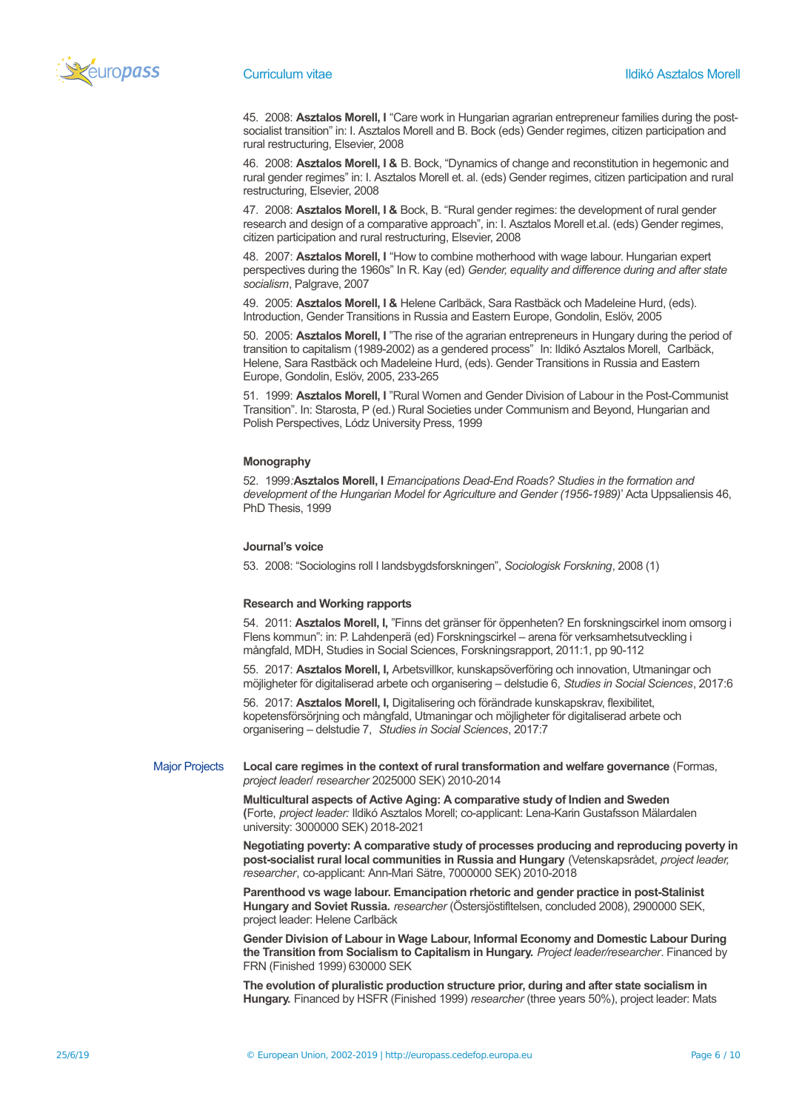

45. 2008: **Asztalos Morell, I** "Care work in Hungarian agrarian entrepreneur families during the postsocialist transition" in: I. Asztalos Morell and B. Bock (eds) Gender regimes, citizen participation and rural restructuring, Elsevier, 2008

46. 2008: **Asztalos Morell, I &** B. Bock, "Dynamics of change and reconstitution in hegemonic and rural gender regimes" in: I. Asztalos Morell et. al. (eds) Gender regimes, citizen participation and rural restructuring, Elsevier, 2008

47. 2008: **Asztalos Morell, I &** Bock, B. "Rural gender regimes: the development of rural gender research and design of a comparative approach", in: I. Asztalos Morell et.al. (eds) Gender regimes, citizen participation and rural restructuring, Elsevier, 2008

48. 2007: **Asztalos Morell, I** "How to combine motherhood with wage labour. Hungarian expert perspectives during the 1960s" In R. Kay (ed) *Gender, equality and difference during and after state socialism*, Palgrave, 2007

49. 2005: **Asztalos Morell, I &** Helene Carlbäck, Sara Rastbäck och Madeleine Hurd, (eds). Introduction, Gender Transitions in Russia and Eastern Europe, Gondolin, Eslöv, 2005

50. 2005: **Asztalos Morell, I** "The rise of the agrarian entrepreneurs in Hungary during the period of transition to capitalism (1989-2002) as a gendered process" In: Ildikó Asztalos Morell, Carlbäck, Helene, Sara Rastbäck och Madeleine Hurd, (eds). Gender Transitions in Russia and Eastern Europe, Gondolin, Eslöv, 2005, 233-265

51. 1999: **Asztalos Morell, I** "Rural Women and Gender Division of Labour in the Post-Communist Transition". In: Starosta, P (ed.) Rural Societies under Communism and Beyond, Hungarian and Polish Perspectives, Lódz University Press, 1999

#### **Monography**

52. 1999*:***Asztalos Morell, I** *Emancipations Dead-End Roads? Studies in the formation and development of the Hungarian Model for Agriculture and Gender (1956-1989)*' Acta Uppsaliensis 46, PhD Thesis, 1999

#### **Journal's voice**

53. 2008: "Sociologins roll I landsbygdsforskningen", *Sociologisk Forskning*, 2008 (1)

#### **Research and Working rapports**

54. 2011: **Asztalos Morell, I,** "Finns det gränser för öppenheten? En forskningscirkel inom omsorg i Flens kommun": in: P. Lahdenperä (ed) Forskningscirkel – arena för verksamhetsutveckling i mångfald, MDH, Studies in Social Sciences, Forskningsrapport, 2011:1, pp 90-112

55. 2017: **Asztalos Morell, I,** Arbetsvillkor, kunskapsöverföring och innovation, Utmaningar och möjligheter för digitaliserad arbete och organisering – delstudie 6, *Studies in Social Sciences*, 2017:6

56. 2017: **Asztalos Morell, I,** Digitalisering och förändrade kunskapskrav, flexibilitet, kopetensförsörjning och mångfald, Utmaningar och möjligheter för digitaliserad arbete och organisering – delstudie 7, *Studies in Social Sciences*, 2017:7

Major Projects **Local care regimes in the context of rural transformation and welfare governance** (Formas, *project leader*/ *researcher* 2025000 SEK) 2010-2014

> **Multicultural aspects of Active Aging: A comparative study of Indien and Sweden (**Forte, *project leader:* Ildikó Asztalos Morell; co-applicant: Lena-Karin Gustafsson Mälardalen university: 3000000 SEK) 2018-2021

**Negotiating poverty: A comparative study of processes producing and reproducing poverty in post-socialist rural local communities in Russia and Hungary** (Vetenskapsrådet, *project leader, researcher*, co-applicant: Ann-Mari Sätre, 7000000 SEK) 2010-2018

**Parenthood vs wage labour. Emancipation rhetoric and gender practice in post-Stalinist Hungary and Soviet Russia.** *researcher* (Östersjöstifltelsen, concluded 2008), 2900000 SEK, project leader: Helene Carlbäck

**Gender Division of Labour in Wage Labour, Informal Economy and Domestic Labour During the Transition from Socialism to Capitalism in Hungary.** *Project leader/researcher*. Financed by FRN (Finished 1999) 630000 SEK

**The evolution of pluralistic production structure prior, during and after state socialism in Hungary.** Financed by HSFR (Finished 1999) *researcher* (three years 50%), project leader: Mats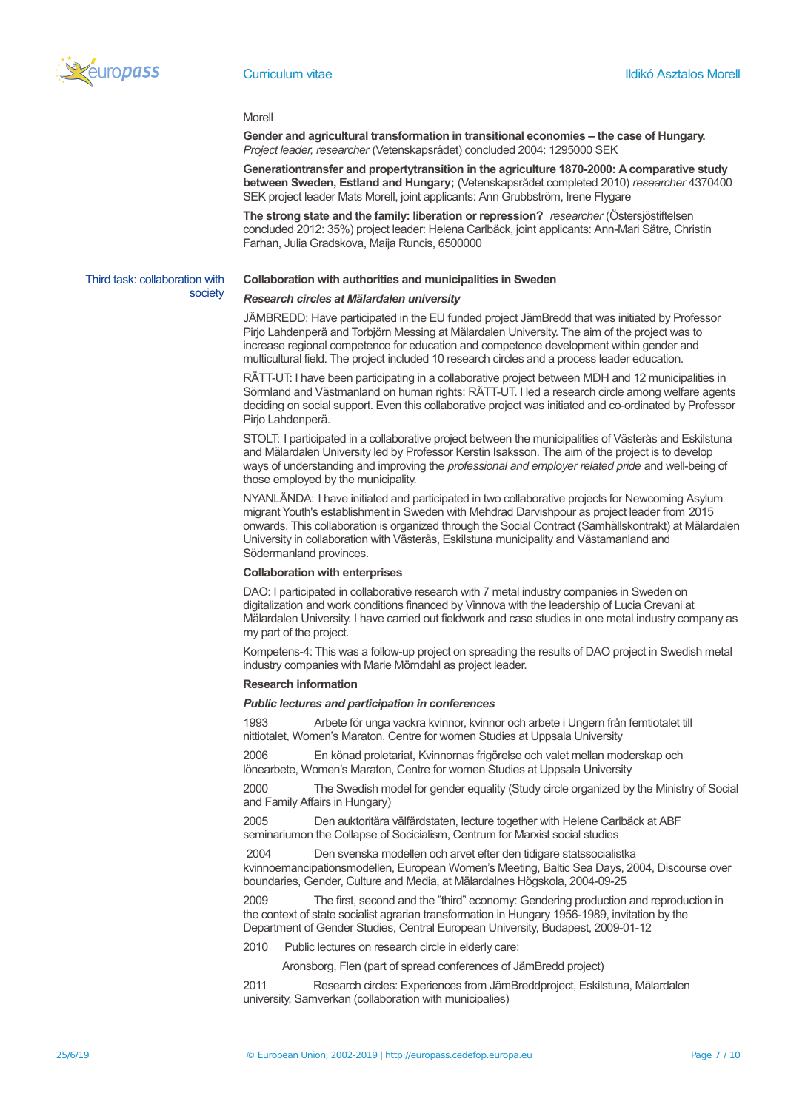

Third task: collaboration with

society

#### Morell

**Gender and agricultural transformation in transitional economies – the case of Hungary.** *Project leader, researcher* (Vetenskapsrådet) concluded 2004: 1295000 SEK

**Generationtransfer and propertytransition in the agriculture 1870-2000: A comparative study between Sweden, Estland and Hungary;** (Vetenskapsrådet completed 2010) *researcher* 4370400 SEK project leader Mats Morell, joint applicants: Ann Grubbström, Irene Flygare

**The strong state and the family: liberation or repression?** *researcher* (Östersjöstiftelsen concluded 2012: 35%) project leader: Helena Carlbäck, joint applicants: Ann-Mari Sätre, Christin Farhan, Julia Gradskova, Maija Runcis, 6500000

## **Collaboration with authorities and municipalities in Sweden**

#### *Research circles at Mälardalen university*

JÄMBREDD: Have participated in the EU funded project JämBredd that was initiated by Professor Pirjo Lahdenperä and Torbjörn Messing at Mälardalen University. The aim of the project was to increase regional competence for education and competence development within gender and multicultural field. The project included 10 research circles and a process leader education.

RÄTT-UT: I have been participating in a collaborative project between MDH and 12 municipalities in Sörmland and Västmanland on human rights: RÄTT-UT. I led a research circle among welfare agents deciding on social support. Even this collaborative project was initiated and co-ordinated by Professor Pirjo Lahdenperä.

STOLT: I participated in a collaborative project between the municipalities of Västerås and Eskilstuna and Mälardalen University led by Professor Kerstin Isaksson. The aim of the project is to develop ways of understanding and improving the *professional and employer related pride* and well-being of those employed by the municipality.

NYANLÄNDA: I have initiated and participated in two collaborative projects for Newcoming Asylum migrant Youth's establishment in Sweden with Mehdrad Darvishpour as project leader from 2015 onwards. This collaboration is organized through the Social Contract (Samhällskontrakt) at Mälardalen University in collaboration with Västerås, Eskilstuna municipality and Västamanland and Södermanland provinces.

## **Collaboration with enterprises**

DAO: I participated in collaborative research with 7 metal industry companies in Sweden on digitalization and work conditions financed by Vinnova with the leadership of Lucia Crevani at Mälardalen University. I have carried out fieldwork and case studies in one metal industry company as my part of the project.

Kompetens-4: This was a follow-up project on spreading the results of DAO project in Swedish metal industry companies with Marie Mörndahl as project leader.

#### **Research information**

#### *Public lectures and participation in conferences*

1993 Arbete för unga vackra kvinnor, kvinnor och arbete i Ungern från femtiotalet till nittiotalet, Women's Maraton, Centre for women Studies at Uppsala University

2006 En könad proletariat, Kvinnornas frigörelse och valet mellan moderskap och lönearbete, Women's Maraton, Centre for women Studies at Uppsala University

2000 The Swedish model for gender equality (Study circle organized by the Ministry of Social and Family Affairs in Hungary)

2005 Den auktoritära välfärdstaten, lecture together with Helene Carlbäck at ABF

seminariumon the Collapse of Socicialism, Centrum for Marxist social studies

2004 Den svenska modellen och arvet efter den tidigare statssocialistka kvinnoemancipationsmodellen, European Women's Meeting, Baltic Sea Days, 2004, Discourse over boundaries, Gender, Culture and Media, at Mälardalnes Högskola, 2004-09-25

2009 The first, second and the "third" economy: Gendering production and reproduction in the context of state socialist agrarian transformation in Hungary 1956-1989, invitation by the Department of Gender Studies, Central European University, Budapest, 2009-01-12

2010 Public lectures on research circle in elderly care:

Aronsborg, Flen (part of spread conferences of JämBredd project)

2011 Research circles: Experiences from JämBreddproject, Eskilstuna, Mälardalen university, Samverkan (collaboration with municipalies)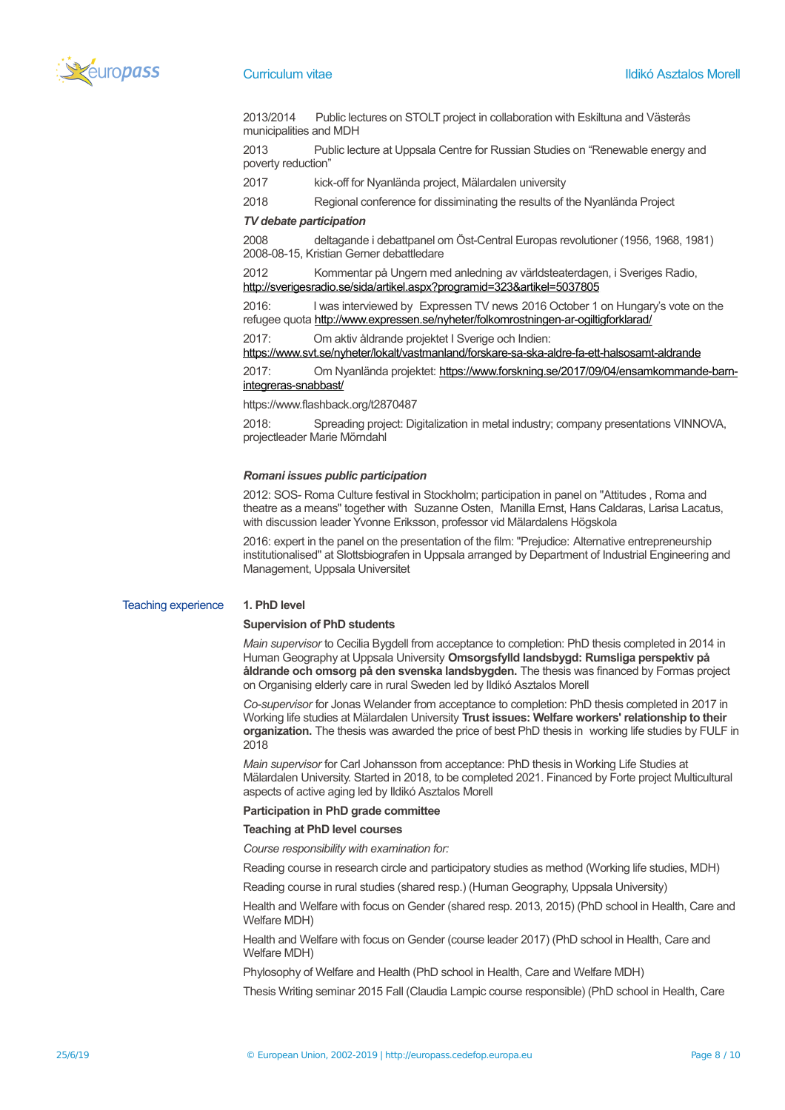

2013/2014 Public lectures on STOLT project in collaboration with Eskiltuna and Västerås municipalities and MDH

2013 Public lecture at Uppsala Centre for Russian Studies on "Renewable energy and poverty reduction"

2017 kick-off for Nyanlända project, Mälardalen university

2018 Regional conference for dissiminating the results of the Nyanlända Project

## *TV debate participation*

2008 deltagande i debattpanel om Öst-Central Europas revolutioner (1956, 1968, 1981) 2008-08-15, Kristian Gerner debattledare

2012 Kommentar på Ungern med anledning av världsteaterdagen, i Sveriges Radio, <http://sverigesradio.se/sida/artikel.aspx?programid=323&artikel=5037805>

2016: I was interviewed by Expressen TV news 2016 October 1 on Hungary's vote on the refugee quota<http://www.expressen.se/nyheter/folkomrostningen-ar-ogiltigforklarad/>

2017: Om aktiv åldrande projektet I Sverige och Indien:

<https://www.svt.se/nyheter/lokalt/vastmanland/forskare-sa-ska-aldre-fa-ett-halsosamt-aldrande>

2017: Om Nyanlända projektet: [https://www.forskning.se/2017/09/04/ensamkommande-barn](https://www.forskning.se/2017/09/04/ensamkommande-barn-integreras-snabbast/)[integreras-snabbast/](https://www.forskning.se/2017/09/04/ensamkommande-barn-integreras-snabbast/)

https://www.flashback.org/t2870487

2018: Spreading project: Digitalization in metal industry; company presentations VINNOVA, projectleader Marie Mörndahl

#### *Romani issues public participation*

2012: SOS- Roma Culture festival in Stockholm; participation in panel on "Attitudes , Roma and theatre as a means" together with Suzanne Osten, Manilla Ernst, Hans Caldaras, Larisa Lacatus, with discussion leader Yvonne Eriksson, professor vid Mälardalens Högskola

2016: expert in the panel on the presentation of the film: "Prejudice: Alternative entrepreneurship institutionalised" at Slottsbiografen in Uppsala arranged by Department of Industrial Engineering and Management, Uppsala Universitet

## Teaching experience **1. PhD level**

#### **Supervision of PhD students**

*Main supervisor* to Cecilia Bygdell from acceptance to completion: PhD thesis completed in 2014 in Human Geography at Uppsala University **Omsorgsfylld landsbygd: Rumsliga perspektiv på åldrande och omsorg på den svenska landsbygden.** The thesis was financed by Formas project on Organising elderly care in rural Sweden led by Ildikó Asztalos Morell

*Co-supervisor* for Jonas Welander from acceptance to completion: PhD thesis completed in 2017 in Working life studies at Mälardalen University **Trust issues: Welfare workers' relationship to their organization.** The thesis was awarded the price of best PhD thesis in working life studies by FULF in 2018

*Main supervisor* for Carl Johansson from acceptance: PhD thesis in Working Life Studies at Mälardalen University. Started in 2018, to be completed 2021. Financed by Forte project Multicultural aspects of active aging led by Ildikó Asztalos Morell

## **Participation in PhD grade committee**

## **Teaching at PhD level courses**

*Course responsibility with examination for:*

Reading course in research circle and participatory studies as method (Working life studies, MDH)

Reading course in rural studies (shared resp.) (Human Geography, Uppsala University)

Health and Welfare with focus on Gender (shared resp. 2013, 2015) (PhD school in Health, Care and Welfare MDH)

Health and Welfare with focus on Gender (course leader 2017) (PhD school in Health, Care and Welfare MDH)

Phylosophy of Welfare and Health (PhD school in Health, Care and Welfare MDH)

Thesis Writing seminar 2015 Fall (Claudia Lampic course responsible) (PhD school in Health, Care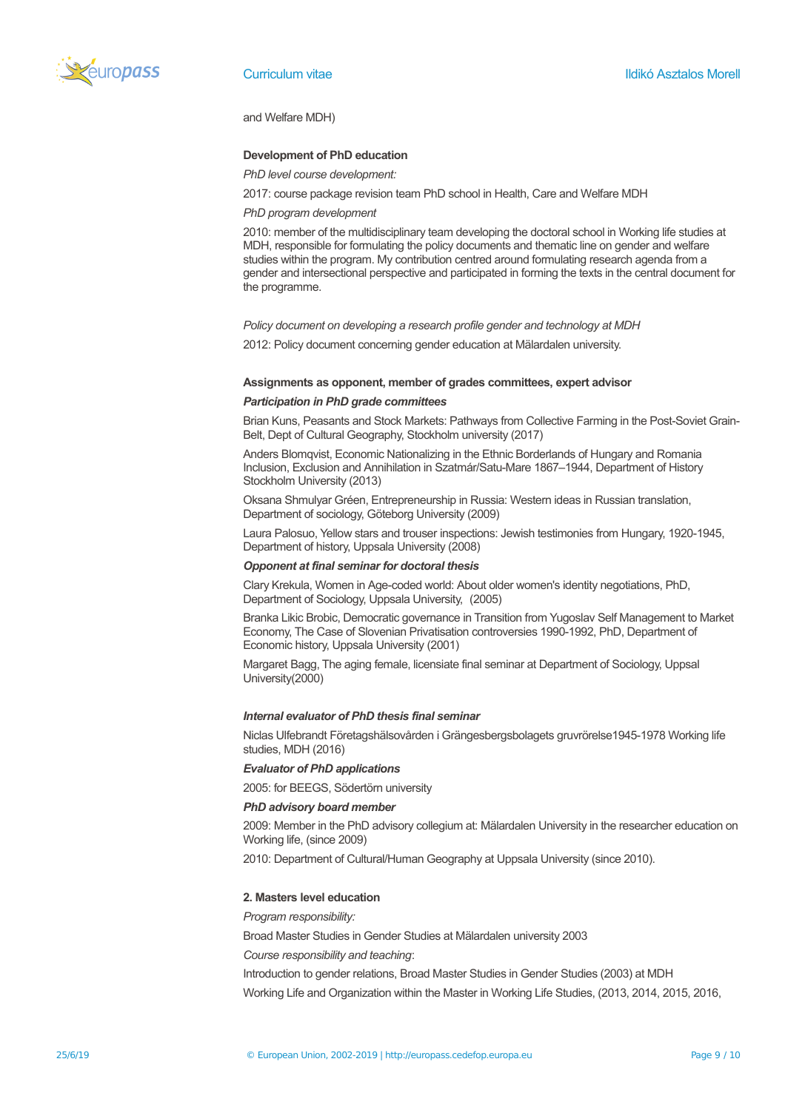

and Welfare MDH)

## **Development of PhD education**

*PhD level course development:* 

2017: course package revision team PhD school in Health, Care and Welfare MDH

## *PhD program development*

2010: member of the multidisciplinary team developing the doctoral school in Working life studies at MDH, responsible for formulating the policy documents and thematic line on gender and welfare studies within the program. My contribution centred around formulating research agenda from a gender and intersectional perspective and participated in forming the texts in the central document for the programme.

#### *Policy document on developing a research profile gender and technology at MDH*

2012: Policy document concerning gender education at Mälardalen university.

#### **Assignments as opponent, member of grades committees, expert advisor**

#### *Participation in PhD grade committees*

Brian Kuns, Peasants and Stock Markets: Pathways from Collective Farming in the Post-Soviet Grain-Belt, Dept of Cultural Geography, Stockholm university (2017)

Anders Blomqvist, Economic Nationalizing in the Ethnic Borderlands of Hungary and Romania Inclusion, Exclusion and Annihilation in Szatmár/Satu-Mare 1867–1944, Department of History Stockholm University (2013)

Oksana Shmulyar Gréen, Entrepreneurship in Russia: Western ideas in Russian translation, Department of sociology, Göteborg University (2009)

Laura Palosuo, Yellow stars and trouser inspections: Jewish testimonies from Hungary, 1920-1945, Department of history, Uppsala University (2008)

#### *Opponent at final seminar for doctoral thesis*

Clary Krekula, Women in Age-coded world: About older women's identity negotiations, PhD, Department of Sociology, Uppsala University, (2005)

Branka Likic Brobic, Democratic governance in Transition from Yugoslav Self Management to Market Economy, The Case of Slovenian Privatisation controversies 1990-1992, PhD, Department of Economic history, Uppsala University (2001)

Margaret Bagg, The aging female, licensiate final seminar at Department of Sociology, Uppsal University(2000)

## *Internal evaluator of PhD thesis final seminar*

Niclas Ulfebrandt Företagshälsovården i Grängesbergsbolagets gruvrörelse1945-1978 Working life studies, MDH (2016)

## *Evaluator of PhD applications*

2005: for BEEGS, Södertörn university

## *PhD advisory board member*

2009: Member in the PhD advisory collegium at: Mälardalen University in the researcher education on Working life, (since 2009)

2010: Department of Cultural/Human Geography at Uppsala University (since 2010).

## **2. Masters level education**

*Program responsibility:*

Broad Master Studies in Gender Studies at Mälardalen university 2003

*Course responsibility and teaching*:

Introduction to gender relations, Broad Master Studies in Gender Studies (2003) at MDH Working Life and Organization within the Master in Working Life Studies, (2013, 2014, 2015, 2016,